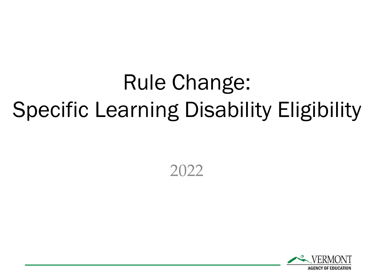# Rule Change: Specific Learning Disability Eligibility



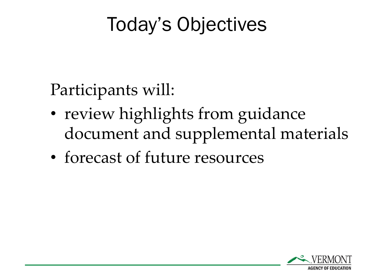### Today's Objectives

Participants will:

- review highlights from guidance document and supplemental materials
- forecast of future resources

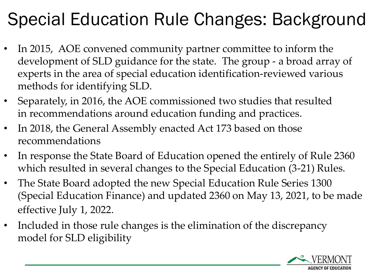#### Special Education Rule Changes: Background

- In 2015, AOE convened community partner committee to inform the development of SLD guidance for the state. The group - a broad array of experts in the area of special education identification-reviewed various methods for identifying SLD.
- Separately, in 2016, the AOE commissioned two studies that resulted in recommendations around education funding and practices.
- In 2018, the General Assembly enacted Act 173 based on those recommendations
- In response the State Board of Education opened the entirely of Rule 2360 which resulted in several changes to the Special Education (3-21) Rules.
- The State Board adopted the new Special Education Rule Series 1300 (Special Education Finance) and updated 2360 on May 13, 2021, to be made effective July 1, 2022.
- Included in those rule changes is the elimination of the discrepancy model for SLD eligibility

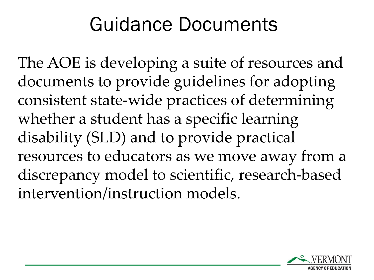### Guidance Documents

The AOE is developing a suite of resources and documents to provide guidelines for adopting consistent state-wide practices of determining whether a student has a specific learning disability (SLD) and to provide practical resources to educators as we move away from a discrepancy model to scientific, research-based intervention/instruction models.

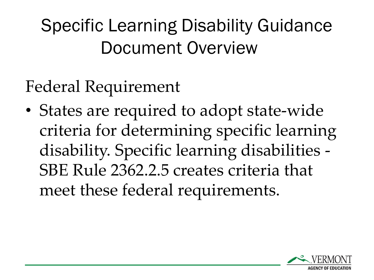Federal Requirement

• States are required to adopt state-wide criteria for determining specific learning disability. Specific learning disabilities - SBE Rule 2362.2.5 creates criteria that meet these federal requirements.

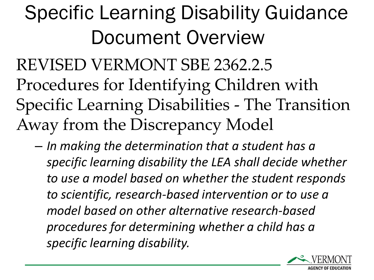REVISED VERMONT SBE 2362.2.5 Procedures for Identifying Children with Specific Learning Disabilities - The Transition Away from the Discrepancy Model

– *In making the determination that a student has a specific learning disability the LEA shall decide whether to use a model based on whether the student responds to scientific, research-based intervention or to use a model based on other alternative research-based procedures for determining whether a child has a specific learning disability.*

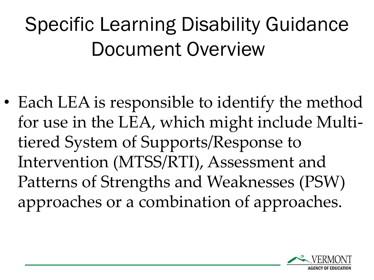• Each LEA is responsible to identify the method for use in the LEA, which might include Multitiered System of Supports/Response to Intervention (MTSS/RTI), Assessment and Patterns of Strengths and Weaknesses (PSW) approaches or a combination of approaches.

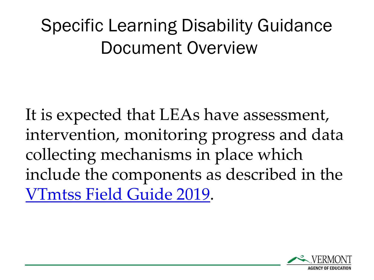It is expected that LEAs have assessment, intervention, monitoring progress and data collecting mechanisms in place which include the components as described in the [VTmtss Field Guide 2019.](https://education.vermont.gov/documents/edu-vtmtss-field-guide-2019)

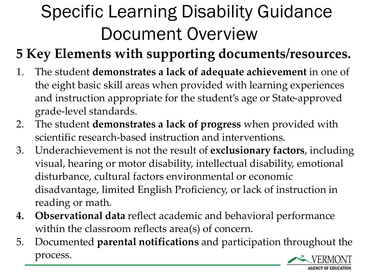#### **5 Key Elements with supporting documents/resources.**

- 1. The student **demonstrates a lack of adequate achievement** in one of the eight basic skill areas when provided with learning experiences and instruction appropriate for the student's age or State-approved grade-level standards.
- 2. The student **demonstrates a lack of progress** when provided with scientific research-based instruction and interventions.
- 3. Underachievement is not the result of **exclusionary factors**, including visual, hearing or motor disability, intellectual disability, emotional disturbance, cultural factors environmental or economic disadvantage, limited English Proficiency, or lack of instruction in reading or math.
- **4. Observational data** reflect academic and behavioral performance within the classroom reflects area(s) of concern.
- 5. Documented **parental notifications** and participation throughout the process.

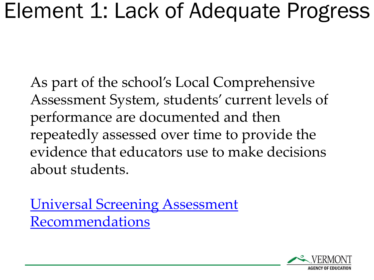### Element 1: Lack of Adequate Progress

As part of the school's Local Comprehensive Assessment System, students' current levels of performance are documented and then repeatedly assessed over time to provide the evidence that educators use to make decisions about students.

[Universal Screening Assessment](https://education.vermont.gov/documents/universal-screening-assessments-recommendations-to-support-a-strong-and-healthy-start)  Recommendations

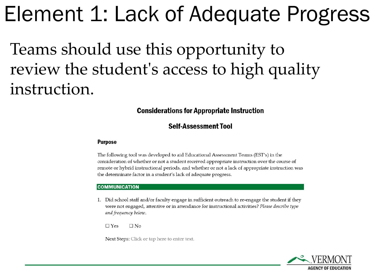## Element 1: Lack of Adequate Progress

#### Teams should use this opportunity to review the student's access to high quality instruction.

#### **Considerations for Appropriate Instruction**

#### **Self-Assessment Tool**

#### **Purpose**

The following tool was developed to aid Educational Assessment Teams (EST's) in the consideration of whether or not a student received appropriate instruction over the course of remote or hybrid instructional periods, and whether or not a lack of appropriate instruction was the determinate factor in a student's lack of adequate progress.

#### **COMMUNICATION**

1. Did school staff and/or faculty engage in sufficient outreach to re-engage the student if they were not engaged, attentive or in attendance for instructional activities? Please describe type and frequency below.

 $\Box$  Yes  $\Box$  No

Next Steps: Click or tap here to enter text.

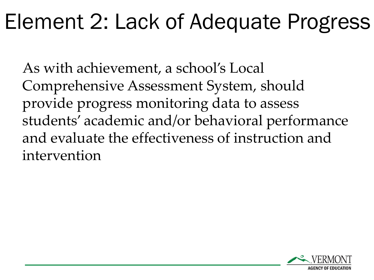## Element 2: Lack of Adequate Progress

As with achievement, a school's Local Comprehensive Assessment System, should provide progress monitoring data to assess students' academic and/or behavioral performance and evaluate the effectiveness of instruction and intervention

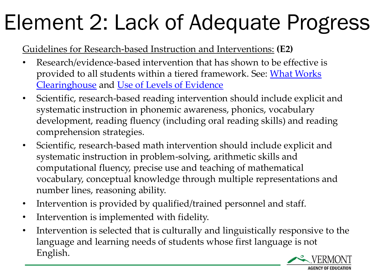## Element 2: Lack of Adequate Progress

#### Guidelines for Research-based Instruction and Interventions: **(E2)**

- Research/evidence-based intervention that has shown to be effective is provided to all students within a tiered framework. See: What Works Clearinghouse and [Use of Levels of Evidence](https://ies.ed.gov/)
- Scientific, research-based reading intervention should include explicit and systematic instruction in phonemic awareness, phonics, vocabulary development, reading fluency (including oral reading skills) and reading comprehension strategies.
- Scientific, research-based math intervention should include explicit and systematic instruction in problem-solving, arithmetic skills and computational fluency, precise use and teaching of mathematical vocabulary, conceptual knowledge through multiple representations and number lines, reasoning ability.
- Intervention is provided by qualified/trained personnel and staff.
- Intervention is implemented with fidelity.
- Intervention is selected that is culturally and linguistically responsive to the language and learning needs of students whose first language is not English.

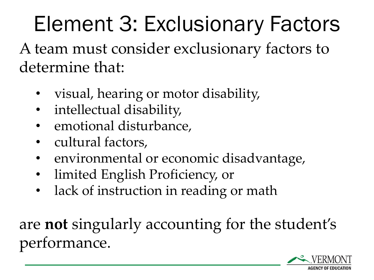# Element 3: Exclusionary Factors

A team must consider exclusionary factors to determine that:

- visual, hearing or motor disability,
- intellectual disability,
- emotional disturbance,
- cultural factors,
- environmental or economic disadvantage,
- limited English Proficiency, or
- lack of instruction in reading or math

are **not** singularly accounting for the student's performance.

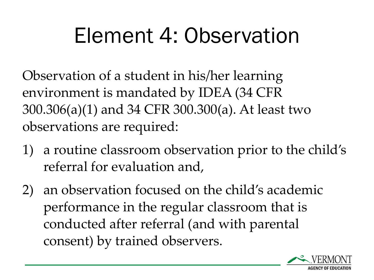## Element 4: Observation

Observation of a student in his/her learning environment is mandated by IDEA (34 CFR 300.306(a)(1) and 34 CFR 300.300(a). At least two observations are required:

- 1) a routine classroom observation prior to the child's referral for evaluation and,
- 2) an observation focused on the child's academic performance in the regular classroom that is conducted after referral (and with parental consent) by trained observers.

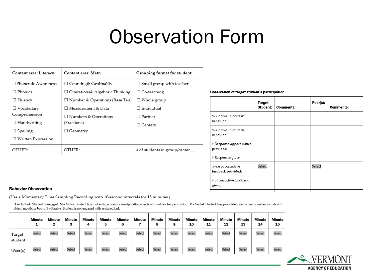### **Observation Form**

| Content area: Literacy    | Content area: Math                    | Grouping format for student:    |  |  |  |
|---------------------------|---------------------------------------|---------------------------------|--|--|--|
| $\Box$ Phonemic Awareness | $\Box$ Counting& Cardinality          | $\Box$ Small group with teacher |  |  |  |
| $\Box$ Phonics            | $\Box$ Operations& Algebraic Thinking | $\Box$ Co-teaching              |  |  |  |
| $\Box$ Fluency            | $\Box$ Number & Operations (Base Ten) | $\Box$ Whole group              |  |  |  |
| $\Box$ Vocabulary         | $\Box$ Measurement & Data             | $\Box$ Individual               |  |  |  |
| Comprehension             | $\Box$ Numbers & Operations           | $\Box$ Partner                  |  |  |  |
| $\Box$ Handwriting        | (Fractions)                           | $\Box$ Centers                  |  |  |  |
| $\Box$ Spelling           | Geometry                              |                                 |  |  |  |
| $\Box$ Written Expression |                                       |                                 |  |  |  |
| OTHER:                    | OTHER:                                | # of students in group/center   |  |  |  |

#### Observation of target student's participation

|                                          | <b>Target</b><br>Student: | <b>Comments:</b> | Peer(s): | <b>Comments:</b> |
|------------------------------------------|---------------------------|------------------|----------|------------------|
| % Of time in on-task<br>behavior:        |                           |                  |          |                  |
| % Of time in off-task<br>behavior:       |                           |                  |          |                  |
| # Response opportunities<br>provided:    |                           |                  |          |                  |
| # Responses given:                       |                           |                  |          |                  |
| Type of corrective<br>feedback provided: | Select                    |                  | Select   |                  |
| # of corrective feedback<br>given:       |                           |                  |          |                  |

#### **Behavior Observation**

(Use a Momentary Time Sampling Recording with 10-second intervals for 15 minutes.)

T = On Task: Student is engaged. M = Motor: Student is out of assigned seat or manipulating objects without teacher permission. V = Verbal: Student Inappropriately verbalizes or makes sounds with object, mouth, or body. P = Passive: Student is not engaged with assigned task

|                   | Minute<br>л. | Minute | Minute | Minute<br>4 | Minute<br>5 | Minute<br>6 | Minute | Minute<br>8 | Minute<br>9 | Minute<br>10 | Minute<br>11 | Minute<br>12 | Minute<br>13 | Minute<br>14 | Minute<br>15 |
|-------------------|--------------|--------|--------|-------------|-------------|-------------|--------|-------------|-------------|--------------|--------------|--------------|--------------|--------------|--------------|
| Target<br>student | Select       | Select | Select | Select      | Select      | Select      | Select | Select      | Select      | Select       | Select       | Select       | Select       | Select       | Select       |
| ${}^4$ Peer(s)    | Select       | Select | Select | Select      | Select      | Select      | Select | Select      | Select      | Select       | Select       | Select       | Select       | Select       | Select       |

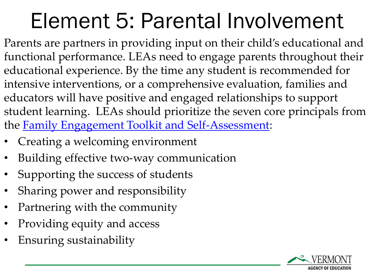# Element 5: Parental Involvement

Parents are partners in providing input on their child's educational and functional performance. LEAs need to engage parents throughout their educational experience. By the time any student is recommended for intensive interventions, or a comprehensive evaluation, families and educators will have positive and engaged relationships to support student learning. LEAs should prioritize the seven core principals from the [Family Engagement Toolkit and Self-Assessment:](https://education.vermont.gov/documents/edu-vermont-family-engagement-toolkit-and-self-assessment)

- Creating a welcoming environment
- Building effective two-way communication
- Supporting the success of students
- Sharing power and responsibility
- Partnering with the community
- Providing equity and access
- Ensuring sustainability

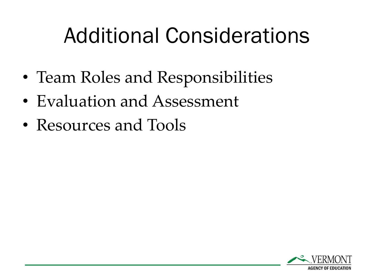## Additional Considerations

- Team Roles and Responsibilities
- Evaluation and Assessment
- Resources and Tools

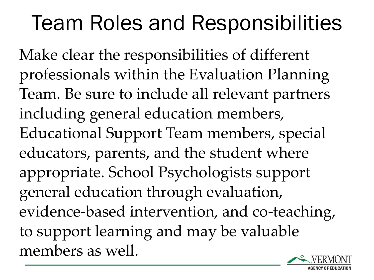# Team Roles and Responsibilities

Make clear the responsibilities of different professionals within the Evaluation Planning Team. Be sure to include all relevant partners including general education members, Educational Support Team members, special educators, parents, and the student where appropriate. School Psychologists support general education through evaluation, evidence-based intervention, and co-teaching, to support learning and may be valuable members as well.

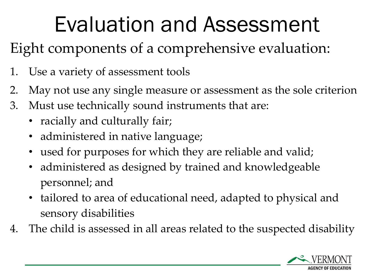# Evaluation and Assessment

#### Eight components of a comprehensive evaluation:

- 1. Use a variety of assessment tools
- 2. May not use any single measure or assessment as the sole criterion
- 3. Must use technically sound instruments that are:
	- racially and culturally fair;
	- administered in native language;
	- used for purposes for which they are reliable and valid;
	- administered as designed by trained and knowledgeable personnel; and
	- tailored to area of educational need, adapted to physical and sensory disabilities
- 4. The child is assessed in all areas related to the suspected disability

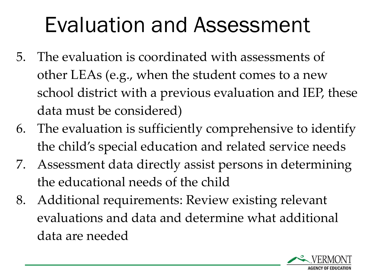## Evaluation and Assessment

- 5. The evaluation is coordinated with assessments of other LEAs (e.g., when the student comes to a new school district with a previous evaluation and IEP, these data must be considered)
- 6. The evaluation is sufficiently comprehensive to identify the child's special education and related service needs
- 7. Assessment data directly assist persons in determining the educational needs of the child
- 8. Additional requirements: Review existing relevant evaluations and data and determine what additional data are needed

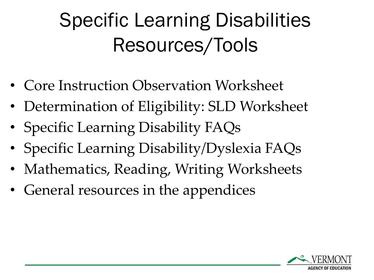## Specific Learning Disabilities Resources/Tools

- Core Instruction Observation Worksheet
- Determination of Eligibility: SLD Worksheet
- Specific Learning Disability FAQs
- Specific Learning Disability/Dyslexia FAQs
- Mathematics, Reading, Writing Worksheets
- General resources in the appendices

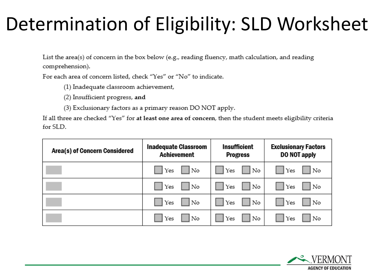### Determination of Eligibility: SLD Worksheet

List the area(s) of concern in the box below (e.g., reading fluency, math calculation, and reading comprehension).

For each area of concern listed, check "Yes" or "No" to indicate.

- (1) Inadequate classroom achievement,
- (2) Insufficient progress, and
- (3) Exclusionary factors as a primary reason DO NOT apply.

If all three are checked "Yes" for at least one area of concern, then the student meets eligibility criteria for SLD.

| Area(s) of Concern Considered | <b>Inadequate Classroom</b><br>Achievement | <b>Insufficient</b><br><b>Progress</b> | <b>Exclusionary Factors</b><br>DO NOT apply |  |  |
|-------------------------------|--------------------------------------------|----------------------------------------|---------------------------------------------|--|--|
|                               | $\Box$ Yes $\Box$ No                       | $\Box$ Yes $\Box$ No                   | $\Box$ Yes $\Box$ No                        |  |  |
|                               | $\Box$ Yes $\Box$ No                       | $\Box$ Yes $\Box$ No                   | $\Box$ Yes $\Box$ No                        |  |  |
|                               | $\Box$ Yes $\Box$ No                       | $\Box$ Yes $\Box$ No                   | $\Box$ No<br>$\vert$ Yes $\vert$            |  |  |
|                               | ∣ ∣Yes<br>$\vert$ No                       | $\vert$ Yes $\vert$ No $\vert$         | $\blacksquare$ Yes<br>$\parallel$ No        |  |  |

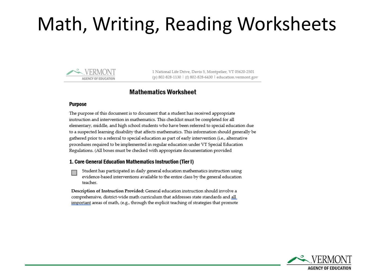### Math, Writing, Reading Worksheets



1 National Life Drive, Davis 5, Montpelier, VT 05620-2501 (p) 802-828-1130 | (f) 802-828-6430 | education.vermont.gov

#### **Mathematics Worksheet**

#### **Purpose**

The purpose of this document is to document that a student has received appropriate instruction and intervention in mathematics. This checklist must be completed for all elementary, middle, and high school students who have been referred to special education due to a suspected learning disability that affects mathematics. This information should generally be gathered prior to a referral to special education as part of early intervention (i.e., alternative procedures required to be implemented in regular education under VT Special Education Regulations. (All boxes must be checked with appropriate documentation provided

#### 1. Core General Education Mathematics Instruction (Tier I)

Student has participated in daily general education mathematics instruction using evidence-based interventions available to the entire class by the general education teacher.

Description of Instruction Provided: General education instruction should involve a comprehensive, district-wide math curriculum that addresses state standards and all important areas of math, (e.g., through the explicit teaching of strategies that promote